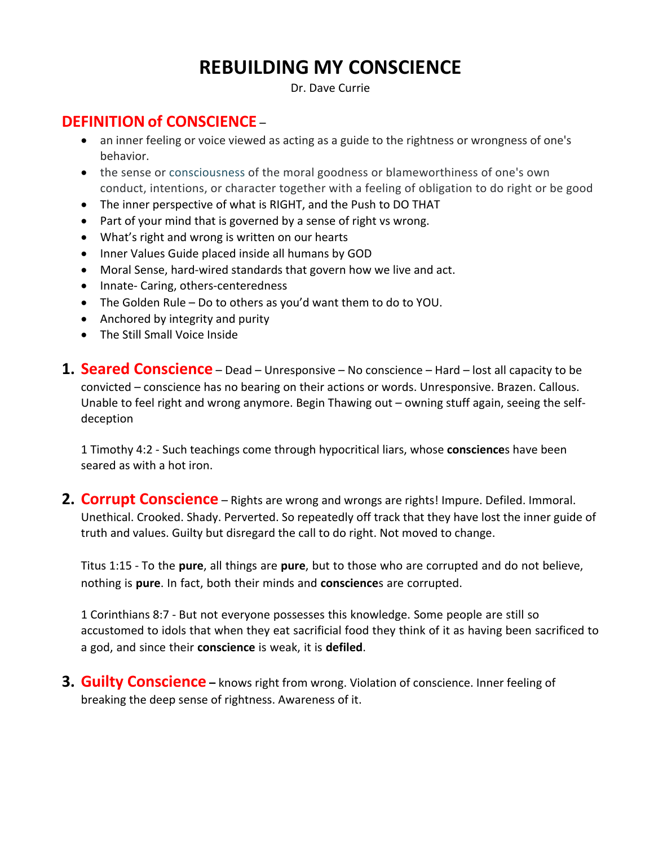## **REBUILDING MY CONSCIENCE**

Dr. Dave Currie

## **DEFINITION of CONSCIENCE –**

- an inner feeling or voice viewed as acting as a guide to the rightness or wrongness of one's behavior.
- the sense or consciousness of the moral goodness or blameworthiness of one's own conduct, intentions, or character together with a feeling of obligation to do right or be good
- The inner perspective of what is RIGHT, and the Push to DO THAT
- Part of your mind that is governed by a sense of right vs wrong.
- What's right and wrong is written on our hearts
- Inner Values Guide placed inside all humans by GOD
- Moral Sense, hard-wired standards that govern how we live and act.
- Innate- Caring, others-centeredness
- The Golden Rule Do to others as you'd want them to do to YOU.
- Anchored by integrity and purity
- The Still Small Voice Inside
- **1. Seared Conscience** Dead Unresponsive No conscience Hard lost all capacity to be convicted – conscience has no bearing on their actions or words. Unresponsive. Brazen. Callous. Unable to feel right and wrong anymore. Begin Thawing out – owning stuff again, seeing the selfdeception

1 Timothy 4:2 - Such teachings come through hypocritical liars, whose **conscience**s have been seared as with a hot iron.

**2. Corrupt Conscience** – Rights are wrong and wrongs are rights! Impure. Defiled. Immoral. Unethical. Crooked. Shady. Perverted. So repeatedly off track that they have lost the inner guide of truth and values. Guilty but disregard the call to do right. Not moved to change.

Titus 1:15 - To the **pure**, all things are **pure**, but to those who are corrupted and do not believe, nothing is **pure**. In fact, both their minds and **conscience**s are corrupted.

1 Corinthians 8:7 - But not everyone possesses this knowledge. Some people are still so accustomed to idols that when they eat sacrificial food they think of it as having been sacrificed to a god, and since their **conscience** is weak, it is **defiled**.

**3. Guilty Conscience** - knows right from wrong. Violation of conscience. Inner feeling of breaking the deep sense of rightness. Awareness of it.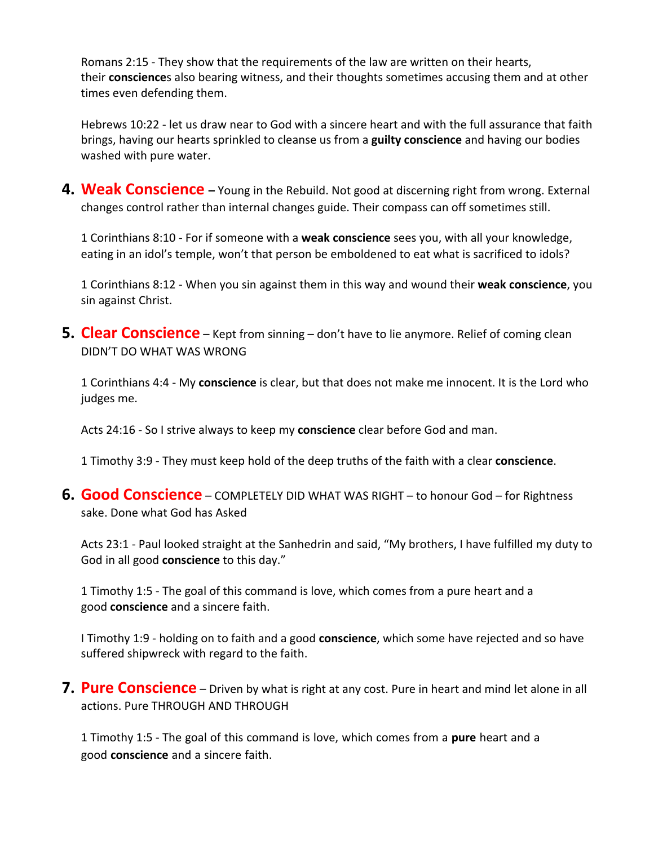Romans 2:15 - They show that the requirements of the law are written on their hearts, their **conscience**s also bearing witness, and their thoughts sometimes accusing them and at other times even defending them.

Hebrews 10:22 - let us draw near to God with a sincere heart and with the full assurance that faith brings, having our hearts sprinkled to cleanse us from a **guilty conscience** and having our bodies washed with pure water.

**4. Weak Conscience –** Young in the Rebuild. Not good at discerning right from wrong. External changes control rather than internal changes guide. Their compass can off sometimes still.

1 Corinthians 8:10 - For if someone with a **weak conscience** sees you, with all your knowledge, eating in an idol's temple, won't that person be emboldened to eat what is sacrificed to idols?

1 Corinthians 8:12 - When you sin against them in this way and wound their **weak conscience**, you sin against Christ.

**5. Clear Conscience** – Kept from sinning – don't have to lie anymore. Relief of coming clean DIDN'T DO WHAT WAS WRONG

1 Corinthians 4:4 - My **conscience** is clear, but that does not make me innocent. It is the Lord who judges me.

Acts 24:16 - So I strive always to keep my **conscience** clear before God and man.

1 Timothy 3:9 - They must keep hold of the deep truths of the faith with a clear **conscience**.

**6. Good Conscience** – COMPLETELY DID WHAT WAS RIGHT – to honour God – for Rightness sake. Done what God has Asked

Acts 23:1 - Paul looked straight at the Sanhedrin and said, "My brothers, I have fulfilled my duty to God in all good **conscience** to this day."

1 Timothy 1:5 - The goal of this command is love, which comes from a pure heart and a good **conscience** and a sincere faith.

I Timothy 1:9 - holding on to faith and a good **conscience**, which some have rejected and so have suffered shipwreck with regard to the faith.

**7. Pure Conscience** – Driven by what is right at any cost. Pure in heart and mind let alone in all actions. Pure THROUGH AND THROUGH

1 Timothy 1:5 - The goal of this command is love, which comes from a **pure** heart and a good **conscience** and a sincere faith.